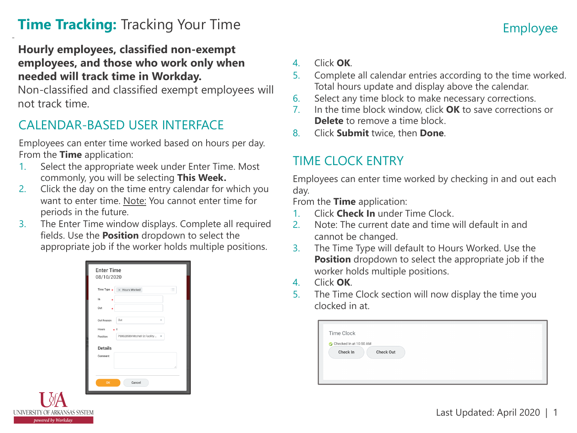# **Time Tracking:** Tracking Your Time **Employee** Employee

#### **Hourly employees, classified non-exempt employees, and those who work only when needed will track time in Workday.**

 Non-classified and classified exempt employees will not track time.

## CALENDAR-BASED USER INTERFACE

 Employees can enter time worked based on hours per day. From the **Time** application:

- 1. Select the appropriate week under Enter Time. Most commonly, you will be selecting **This Week.**
- 2. Click the day on the time entry calendar for which you want to enter time. Note: You cannot enter time for periods in the future.
- fields. Use the **Position** dropdown to select the appropriate job if the worker holds multiple positions. 3. The Enter Time window displays. Complete all required

| Time Type $\star$         | X Hours Worked                 | 這           |
|---------------------------|--------------------------------|-------------|
| In<br>٠                   |                                |             |
| Out                       |                                |             |
| Out Reason                | Out                            |             |
| Hours                     | $\pm 0$                        |             |
| Position                  | P00028589 Mitchell St Facility | $\mathbf v$ |
| <b>Details</b><br>Comment |                                |             |
|                           |                                |             |
|                           |                                | í           |

UNIVERSITY OF ARKANSAS SYSTEM powered by Workday.

- 4. Click **OK**.
- 5. Complete all calendar entries according to the time worked. Total hours update and display above the calendar.
- 6. Select any time block to make necessary corrections.
- 7. In the time block window, click **OK** to save corrections or **Delete** to remove a time block.
- 8. Click **Submit** twice, then **Done**.

## TIME CLOCK ENTRY

 Employees can enter time worked by checking in and out each day.

From the **Time** application:

- 1. Click **Check In** under Time Clock.
- 2. Note: The current date and time will default in and cannot be changed.
- **Position** dropdown to select the appropriate job if the worker holds multiple positions. 3. The Time Type will default to Hours Worked. Use the
- 4. Click **OK**.
- 5. The Time Clock section will now display the time you clocked in at.

| Checked In at 10:50 AM |           |  |  |
|------------------------|-----------|--|--|
| Check In               | Check Out |  |  |
|                        |           |  |  |